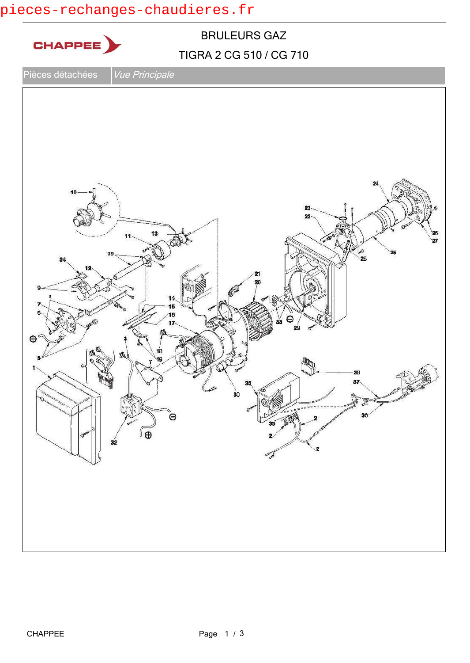## pieces-rechanges-chaudieres.fr

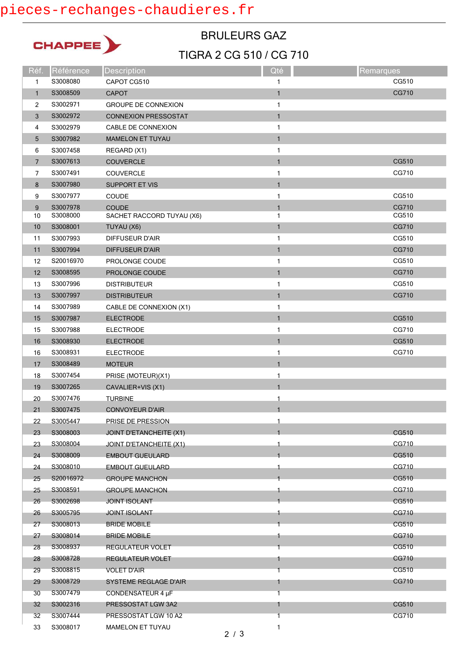## pieces-rechanges-chaudieres.fr



#### TIGRA 2 CG 510 / CG 710 BRULEURS GAZ

| Réf.           | Référence | <b>Description</b>           | Qté          | Remarques |
|----------------|-----------|------------------------------|--------------|-----------|
| 1              | S3008080  | CAPOT CG510                  | 1            | CG510     |
| $\mathbf{1}$   | S3008509  | <b>CAPOT</b>                 | $\mathbf{1}$ | CG710     |
| 2              | S3002971  | <b>GROUPE DE CONNEXION</b>   | 1            |           |
| 3              | S3002972  | <b>CONNEXION PRESSOSTAT</b>  | $\mathbf{1}$ |           |
| 4              | S3002979  | CABLE DE CONNEXION           | 1            |           |
| 5              | S3007982  | <b>MAMELON ET TUYAU</b>      | $\mathbf{1}$ |           |
| 6              | S3007458  | REGARD (X1)                  | 1            |           |
| $\overline{7}$ | S3007613  | <b>COUVERCLE</b>             | $\mathbf{1}$ | CG510     |
| 7              | S3007491  | COUVERCLE                    | 1            | CG710     |
| 8              | S3007980  | <b>SUPPORT ET VIS</b>        | $\mathbf{1}$ |           |
| 9              | S3007977  | COUDE                        | 1            | CG510     |
| 9              | S3007978  | <b>COUDE</b>                 | $\mathbf{1}$ | CG710     |
| 10             | S3008000  | SACHET RACCORD TUYAU (X6)    | 1            | CG510     |
| 10             | S3008001  | TUYAU (X6)                   | $\mathbf{1}$ | CG710     |
| 11             | S3007993  | <b>DIFFUSEUR D'AIR</b>       | 1            | CG510     |
| 11             | S3007994  | <b>DIFFUSEUR D'AIR</b>       | $\mathbf{1}$ | CG710     |
| 12             | S20016970 | PROLONGE COUDE               | 1            | CG510     |
| 12             | S3008595  | PROLONGE COUDE               | $\mathbf{1}$ | CG710     |
| 13             | S3007996  | <b>DISTRIBUTEUR</b>          | 1            | CG510     |
| 13             | S3007997  | <b>DISTRIBUTEUR</b>          | $\mathbf{1}$ | CG710     |
| 14             | S3007989  | CABLE DE CONNEXION (X1)      | 1            |           |
| 15             | S3007987  | <b>ELECTRODE</b>             | $\mathbf{1}$ | CG510     |
| 15             | S3007988  | <b>ELECTRODE</b>             | 1            | CG710     |
| 16             | S3008930  | <b>ELECTRODE</b>             | $\mathbf{1}$ | CG510     |
| 16             | S3008931  | <b>ELECTRODE</b>             | 1            | CG710     |
| 17             | S3008489  | <b>MOTEUR</b>                | $\mathbf{1}$ |           |
| 18             | S3007454  | PRISE (MOTEUR)(X1)           | $\mathbf{1}$ |           |
| 19             | S3007265  | CAVALIER+VIS (X1)            | $\mathbf{1}$ |           |
| 20             | S3007476  | <b>TURBINE</b>               | 1            |           |
| 21             | S3007475  | <b>CONVOYEUR D'AIR</b>       | $\mathbf{1}$ |           |
| 22             | S3005447  | PRISE DE PRESSION            |              |           |
| 23             | S3008003  | JOINT D'ETANCHEITE (X1)      |              | CG510     |
| 23             | S3008004  | JOINT D'ETANCHEITE (X1)      | 1            | CG710     |
| 24             | S3008009  | <b>EMBOUT GUEULARD</b>       |              | CG510     |
| 24             | S3008010  | <b>EMBOUT GUEULARD</b>       | 1            | CG710     |
| 25             | S20016972 | <b>GROUPE MANCHON</b>        |              | CG510     |
| 25             | S3008591  | <b>GROUPE MANCHON</b>        | 1            | CG710     |
| 26             | S3002698  | <b>JOINT ISOLANT</b>         |              | CG510     |
| 26             | S3005795  | <b>JOINT ISOLANT</b>         |              | CG710     |
| 27             | S3008013  | <b>BRIDE MOBILE</b>          |              | CG510     |
| 27             | S3008014  | <b>BRIDE MOBILE</b>          | 1            | CG710     |
| 28             | S3008937  | REGULATEUR VOLET             |              | CG510     |
| 28             | S3008728  | <b>REGULATEUR VOLET</b>      | 1            | CG710     |
| 29             | S3008815  | <b>VOLET D'AIR</b>           | 1            | CG510     |
| 29             | S3008729  | <b>SYSTEME REGLAGE D'AIR</b> | 1            | CG710     |
| 30             | S3007479  | CONDENSATEUR 4 µF            | 1            |           |
| 32             | S3002316  | PRESSOSTAT LGW 3A2           | 1            | CG510     |
| 32             | S3007444  | PRESSOSTAT LGW 10 A2         | 1            | CG710     |
| 33             | S3008017  | <b>MAMELON ET TUYAU</b>      | 1            |           |
|                |           |                              |              |           |